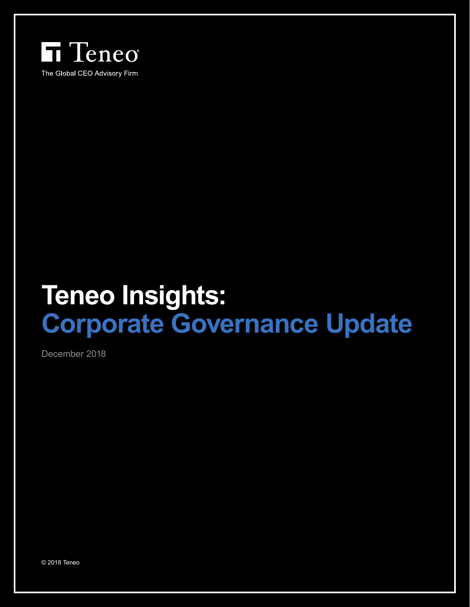

# **Teneo Insights: Corporate Governance Update**

December 2018

© 2018 Teneo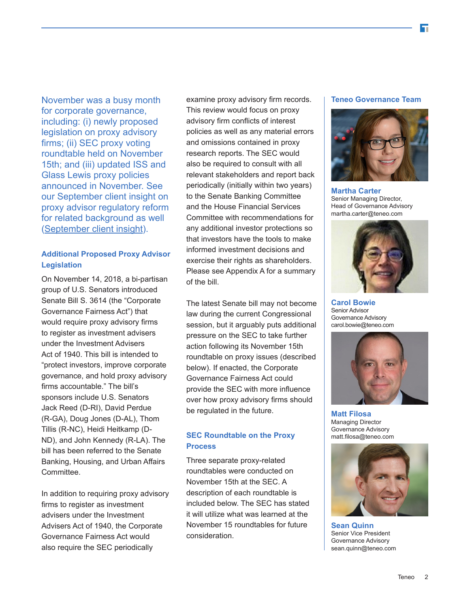November was a busy month for corporate governance, including: (i) newly proposed legislation on proxy advisory firms; (ii) SEC proxy voting roundtable held on November 15th; and (iii) updated ISS and Glass Lewis proxy policies announced in November. See our September client insight on proxy advisor regulatory reform for related background as well ([September client insight](https://www.teneo.com/u-s-regulatory-update-are-we-one-step-closer-to-proxy-advisor-reform/)).

## **Additional Proposed Proxy Advisor Legislation**

On November 14, 2018, a bi-partisan group of U.S. Senators introduced Senate Bill S. 3614 (the "Corporate Governance Fairness Act") that would require proxy advisory firms to register as investment advisers under the Investment Advisers Act of 1940. This bill is intended to "protect investors, improve corporate governance, and hold proxy advisory firms accountable." The bill's sponsors include U.S. Senators Jack Reed (D-RI), David Perdue (R-GA), Doug Jones (D-AL), Thom Tillis (R-NC), Heidi Heitkamp (D-ND), and John Kennedy (R-LA). The bill has been referred to the Senate Banking, Housing, and Urban Affairs Committee.

In addition to requiring proxy advisory firms to register as investment advisers under the Investment Advisers Act of 1940, the Corporate Governance Fairness Act would also require the SEC periodically

examine proxy advisory firm records. This review would focus on proxy advisory firm conflicts of interest policies as well as any material errors and omissions contained in proxy research reports. The SEC would also be required to consult with all relevant stakeholders and report back periodically (initially within two years) to the Senate Banking Committee and the House Financial Services Committee with recommendations for any additional investor protections so that investors have the tools to make informed investment decisions and exercise their rights as shareholders. Please see Appendix A for a summary of the bill.

The latest Senate bill may not become law during the current Congressional session, but it arguably puts additional pressure on the SEC to take further action following its November 15th roundtable on proxy issues (described below). If enacted, the Corporate Governance Fairness Act could provide the SEC with more influence over how proxy advisory firms should be regulated in the future.

### **SEC Roundtable on the Proxy Process**

Three separate proxy-related roundtables were conducted on November 15th at the SEC. A description of each roundtable is included below. The SEC has stated it will utilize what was learned at the November 15 roundtables for future consideration.

#### **Teneo Governance Team**



**Martha Carter** Senior Managing Director, Head of Governance Advisory martha.carter@teneo.com



**Carol Bowie** Senior Advisor Governance Advisory carol.bowie@teneo.com



**Matt Filosa** Managing Director Governance Advisory matt.filosa@teneo.com



**Sean Quinn** Senior Vice President Governance Advisory sean.quinn@teneo.com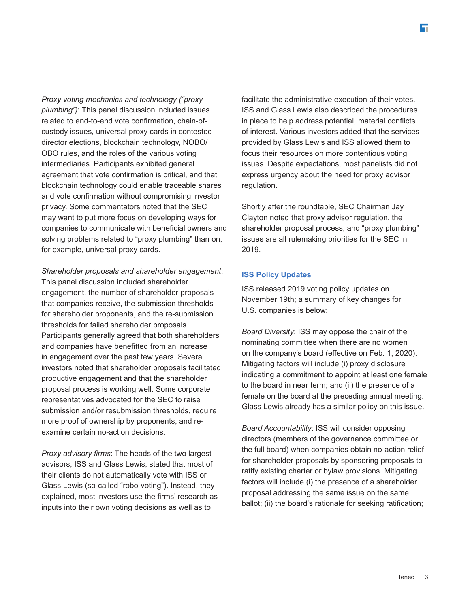*Proxy voting mechanics and technology ("proxy plumbing")*: This panel discussion included issues related to end-to-end vote confirmation, chain-ofcustody issues, universal proxy cards in contested director elections, blockchain technology, NOBO/ OBO rules, and the roles of the various voting intermediaries. Participants exhibited general agreement that vote confirmation is critical, and that blockchain technology could enable traceable shares and vote confirmation without compromising investor privacy. Some commentators noted that the SEC may want to put more focus on developing ways for companies to communicate with beneficial owners and solving problems related to "proxy plumbing" than on, for example, universal proxy cards.

*Shareholder proposals and shareholder engagement*: This panel discussion included shareholder engagement, the number of shareholder proposals that companies receive, the submission thresholds for shareholder proponents, and the re-submission thresholds for failed shareholder proposals. Participants generally agreed that both shareholders and companies have benefitted from an increase in engagement over the past few years. Several investors noted that shareholder proposals facilitated productive engagement and that the shareholder proposal process is working well. Some corporate representatives advocated for the SEC to raise submission and/or resubmission thresholds, require more proof of ownership by proponents, and reexamine certain no-action decisions.

*Proxy advisory firms*: The heads of the two largest advisors, ISS and Glass Lewis, stated that most of their clients do not automatically vote with ISS or Glass Lewis (so-called "robo-voting"). Instead, they explained, most investors use the firms' research as inputs into their own voting decisions as well as to

facilitate the administrative execution of their votes. ISS and Glass Lewis also described the procedures in place to help address potential, material conflicts of interest. Various investors added that the services provided by Glass Lewis and ISS allowed them to focus their resources on more contentious voting issues. Despite expectations, most panelists did not express urgency about the need for proxy advisor regulation.

Shortly after the roundtable, SEC Chairman Jay Clayton noted that proxy advisor regulation, the shareholder proposal process, and "proxy plumbing" issues are all rulemaking priorities for the SEC in 2019.

#### **ISS Policy Updates**

ISS released 2019 voting policy updates on November 19th; a summary of key changes for U.S. companies is below:

*Board Diversity*: ISS may oppose the chair of the nominating committee when there are no women on the company's board (effective on Feb. 1, 2020). Mitigating factors will include (i) proxy disclosure indicating a commitment to appoint at least one female to the board in near term; and (ii) the presence of a female on the board at the preceding annual meeting. Glass Lewis already has a similar policy on this issue.

*Board Accountability*: ISS will consider opposing directors (members of the governance committee or the full board) when companies obtain no-action relief for shareholder proposals by sponsoring proposals to ratify existing charter or bylaw provisions. Mitigating factors will include (i) the presence of a shareholder proposal addressing the same issue on the same ballot; (ii) the board's rationale for seeking ratification;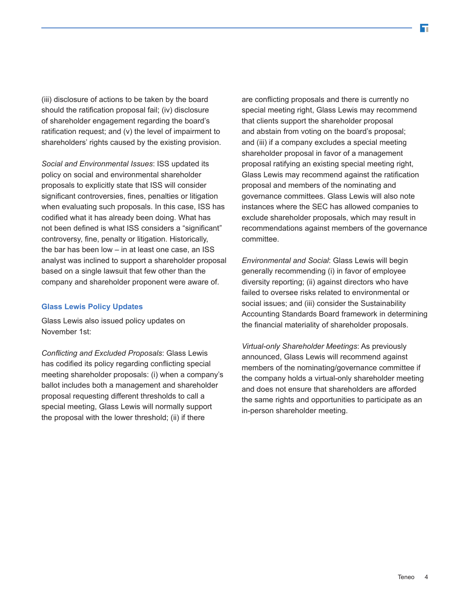(iii) disclosure of actions to be taken by the board should the ratification proposal fail; (iv) disclosure of shareholder engagement regarding the board's ratification request; and (v) the level of impairment to shareholders' rights caused by the existing provision.

*Social and Environmental Issues*: ISS updated its policy on social and environmental shareholder proposals to explicitly state that ISS will consider significant controversies, fines, penalties or litigation when evaluating such proposals. In this case, ISS has codified what it has already been doing. What has not been defined is what ISS considers a "significant" controversy, fine, penalty or litigation. Historically, the bar has been low – in at least one case, an ISS analyst was inclined to support a shareholder proposal based on a single lawsuit that few other than the company and shareholder proponent were aware of.

#### **Glass Lewis Policy Updates**

Glass Lewis also issued policy updates on November 1st:

*Conflicting and Excluded Proposals*: Glass Lewis has codified its policy regarding conflicting special meeting shareholder proposals: (i) when a company's ballot includes both a management and shareholder proposal requesting different thresholds to call a special meeting, Glass Lewis will normally support the proposal with the lower threshold; (ii) if there

are conflicting proposals and there is currently no special meeting right, Glass Lewis may recommend that clients support the shareholder proposal and abstain from voting on the board's proposal; and (iii) if a company excludes a special meeting shareholder proposal in favor of a management proposal ratifying an existing special meeting right, Glass Lewis may recommend against the ratification proposal and members of the nominating and governance committees. Glass Lewis will also note instances where the SEC has allowed companies to exclude shareholder proposals, which may result in recommendations against members of the governance committee.

*Environmental and Social*: Glass Lewis will begin generally recommending (i) in favor of employee diversity reporting; (ii) against directors who have failed to oversee risks related to environmental or social issues; and (iii) consider the Sustainability Accounting Standards Board framework in determining the financial materiality of shareholder proposals.

*Virtual-only Shareholder Meetings*: As previously announced, Glass Lewis will recommend against members of the nominating/governance committee if the company holds a virtual-only shareholder meeting and does not ensure that shareholders are afforded the same rights and opportunities to participate as an in-person shareholder meeting.